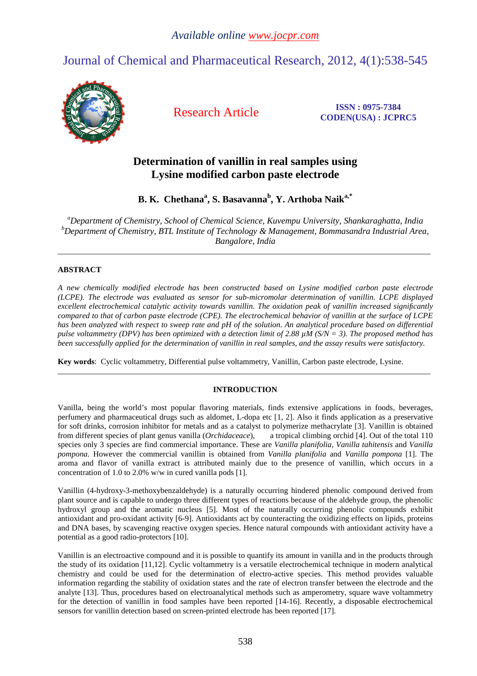# Journal of Chemical and Pharmaceutical Research, 2012, 4(1):538-545



Research Article **ISSN : 0975-7384 CODEN(USA) : JCPRC5**

## **Determination of vanillin in real samples using Lysine modified carbon paste electrode**

**B. K. Chethana<sup>a</sup> , S. Basavanna<sup>b</sup> , Y. Arthoba Naika,\*** 

*<sup>a</sup>Department of Chemistry, School of Chemical Science, Kuvempu University, Shankaraghatta, India <sup>b</sup>Department of Chemistry, BTL Institute of Technology & Management, Bommasandra Industrial Area, Bangalore, India* 

\_\_\_\_\_\_\_\_\_\_\_\_\_\_\_\_\_\_\_\_\_\_\_\_\_\_\_\_\_\_\_\_\_\_\_\_\_\_\_\_\_\_\_\_\_\_\_\_\_\_\_\_\_\_\_\_\_\_\_\_\_\_\_\_\_\_\_\_\_\_\_\_\_\_\_\_\_\_\_\_\_\_\_\_\_\_\_\_\_\_\_\_\_

## **ABSTRACT**

*A new chemically modified electrode has been constructed based on Lysine modified carbon paste electrode (LCPE). The electrode was evaluated as sensor for sub-micromolar determination of vanillin. LCPE displayed excellent electrochemical catalytic activity towards vanillin. The oxidation peak of vanillin increased significantly compared to that of carbon paste electrode (CPE). The electrochemical behavior of vanillin at the surface of LCPE has been analyzed with respect to sweep rate and pH of the solution. An analytical procedure based on differential pulse voltammetry (DPV) has been optimized with a detection limit of 2.88 µM (S/N = 3). The proposed method has been successfully applied for the determination of vanillin in real samples, and the assay results were satisfactory.* 

**Key words**: Cyclic voltammetry, Differential pulse voltammetry, Vanillin, Carbon paste electrode, Lysine.

## **INTRODUCTION**

\_\_\_\_\_\_\_\_\_\_\_\_\_\_\_\_\_\_\_\_\_\_\_\_\_\_\_\_\_\_\_\_\_\_\_\_\_\_\_\_\_\_\_\_\_\_\_\_\_\_\_\_\_\_\_\_\_\_\_\_\_\_\_\_\_\_\_\_\_\_\_\_\_\_\_\_\_\_\_\_\_\_\_\_\_\_\_\_\_\_\_\_\_

Vanilla, being the world's most popular flavoring materials, finds extensive applications in foods, beverages, perfumery and pharmaceutical drugs such as aldomet, L-dopa etc [1, 2]. Also it finds application as a preservative for soft drinks, corrosion inhibitor for metals and as a catalyst to polymerize methacrylate [3]. Vanillin is obtained from different species of plant genus vanilla (*Orchidaceace*), a tropical climbing orchid [4]. Out of the total 110 species only 3 species are find commercial importance. These are *Vanilla planifolia, Vanilla tahitensis* and *Vanilla pompona*. However the commercial vanillin is obtained from *Vanilla planifolia* and *Vanilla pompona* [1]. The aroma and flavor of vanilla extract is attributed mainly due to the presence of vanillin, which occurs in a concentration of 1.0 to 2.0% w/w in cured vanilla pods [1].

Vanillin (4-hydroxy-3-methoxybenzaldehyde) is a naturally occurring hindered phenolic compound derived from plant source and is capable to undergo three different types of reactions because of the aldehyde group, the phenolic hydroxyl group and the aromatic nucleus [5]. Most of the naturally occurring phenolic compounds exhibit antioxidant and pro-oxidant activity [6-9]. Antioxidants act by counteracting the oxidizing effects on lipids, proteins and DNA bases, by scavenging reactive oxygen species. Hence natural compounds with antioxidant activity have a potential as a good radio-protectors [10].

Vanillin is an electroactive compound and it is possible to quantify its amount in vanilla and in the products through the study of its oxidation [11,12]. Cyclic voltammetry is a versatile electrochemical technique in modern analytical chemistry and could be used for the determination of electro-active species. This method provides valuable information regarding the stability of oxidation states and the rate of electron transfer between the electrode and the analyte [13]. Thus, procedures based on electroanalytical methods such as amperometry, square wave voltammetry for the detection of vanillin in food samples have been reported [14-16]. Recently, a disposable electrochemical sensors for vanillin detection based on screen-printed electrode has been reported [17].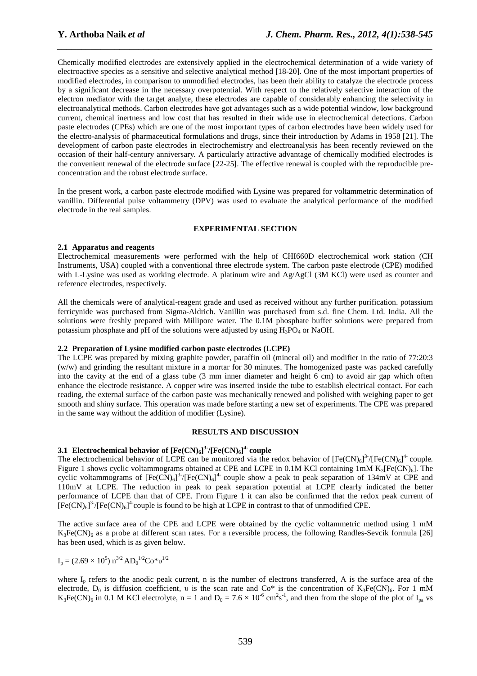Chemically modified electrodes are extensively applied in the electrochemical determination of a wide variety of electroactive species as a sensitive and selective analytical method [18-20]. One of the most important properties of modified electrodes, in comparison to unmodified electrodes, has been their ability to catalyze the electrode process by a significant decrease in the necessary overpotential. With respect to the relatively selective interaction of the electron mediator with the target analyte, these electrodes are capable of considerably enhancing the selectivity in electroanalytical methods. Carbon electrodes have got advantages such as a wide potential window, low background current, chemical inertness and low cost that has resulted in their wide use in electrochemical detections. Carbon paste electrodes (CPEs) which are one of the most important types of carbon electrodes have been widely used for the electro-analysis of pharmaceutical formulations and drugs, since their introduction by Adams in 1958 [21]. The development of carbon paste electrodes in electrochemistry and electroanalysis has been recently reviewed on the occasion of their half-century anniversary*.* A particularly attractive advantage of chemically modified electrodes is the convenient renewal of the electrode surface [22-25**]**. The effective renewal is coupled with the reproducible preconcentration and the robust electrode surface.

*\_\_\_\_\_\_\_\_\_\_\_\_\_\_\_\_\_\_\_\_\_\_\_\_\_\_\_\_\_\_\_\_\_\_\_\_\_\_\_\_\_\_\_\_\_\_\_\_\_\_\_\_\_\_\_\_\_\_\_\_\_\_\_\_\_\_\_\_\_\_\_\_\_\_\_\_\_\_*

In the present work, a carbon paste electrode modified with Lysine was prepared for voltammetric determination of vanillin. Differential pulse voltammetry (DPV) was used to evaluate the analytical performance of the modified electrode in the real samples.

## **EXPERIMENTAL SECTION**

## **2.1 Apparatus and reagents**

Electrochemical measurements were performed with the help of CHI660D electrochemical work station (CH Instruments, USA) coupled with a conventional three electrode system. The carbon paste electrode (CPE) modified with L-Lysine was used as working electrode. A platinum wire and Ag/AgCl (3M KCl) were used as counter and reference electrodes, respectively.

All the chemicals were of analytical-reagent grade and used as received without any further purification. potassium ferricynide was purchased from Sigma-Aldrich. Vanillin was purchased from s.d. fine Chem. Ltd. India. All the solutions were freshly prepared with Millipore water. The 0.1M phosphate buffer solutions were prepared from potassium phosphate and pH of the solutions were adjusted by using  $H_3PO_4$  or NaOH.

## **2.2 Preparation of Lysine modified carbon paste electrodes (LCPE)**

The LCPE was prepared by mixing graphite powder, paraffin oil (mineral oil) and modifier in the ratio of 77:20:3 (w/w) and grinding the resultant mixture in a mortar for 30 minutes. The homogenized paste was packed carefully into the cavity at the end of a glass tube (3 mm inner diameter and height 6 cm) to avoid air gap which often enhance the electrode resistance. A copper wire was inserted inside the tube to establish electrical contact. For each reading, the external surface of the carbon paste was mechanically renewed and polished with weighing paper to get smooth and shiny surface. This operation was made before starting a new set of experiments. The CPE was prepared in the same way without the addition of modifier (Lysine).

## **RESULTS AND DISCUSSION**

## **3.1 Electrochemical behavior of [Fe(CN)6] 3-/[Fe(CN)6] 4- couple**

The electrochemical behavior of LCPE can be monitored via the redox behavior of  $[Fe(CN)_{6}]^{37}/[Fe(CN)_{6}]^{4}$  couple. Figure 1 shows cyclic voltammograms obtained at CPE and LCPE in 0.1M KCl containing 1mM  $K_3[Fe(CN)_6]$ . The cyclic voltammograms of  $[Fe(CN)_6]^3$  / $[Fe(CN)_6]^4$  couple show a peak to peak separation of 134mV at CPE and 110mV at LCPE. The reduction in peak to peak separation potential at LCPE clearly indicated the better performance of LCPE than that of CPE. From Figure 1 it can also be confirmed that the redox peak current of  $[Fe(CN)<sub>6</sub>]$ <sup>3-</sup>/[Fe(CN)<sub>6</sub>]<sup>4-</sup>couple is found to be high at LCPE in contrast to that of unmodified CPE.

The active surface area of the CPE and LCPE were obtained by the cyclic voltammetric method using 1 mM  $K_3Fe(CN)_6$  as a probe at different scan rates. For a reversible process, the following Randles-Sevcik formula [26] has been used, which is as given below.

$$
I_p = (2.69 \times 10^5) \; n^{3/2} \, AD_0^{1/2} Co^* \nu^{1/2}
$$

where  $I_p$  refers to the anodic peak current, n is the number of electrons transferred, A is the surface area of the electrode,  $D_0$  is diffusion coefficient, v is the scan rate and Co\* is the concentration of K<sub>3</sub>Fe(CN)<sub>6</sub>. For 1 mM  $K_3Fe(CN)_6$  in 0.1 M KCl electrolyte, n = 1 and  $D_0 = 7.6 \times 10^{-6}$  cm<sup>2</sup>s<sup>-1</sup>, and then from the slope of the plot of I<sub>pa</sub> vs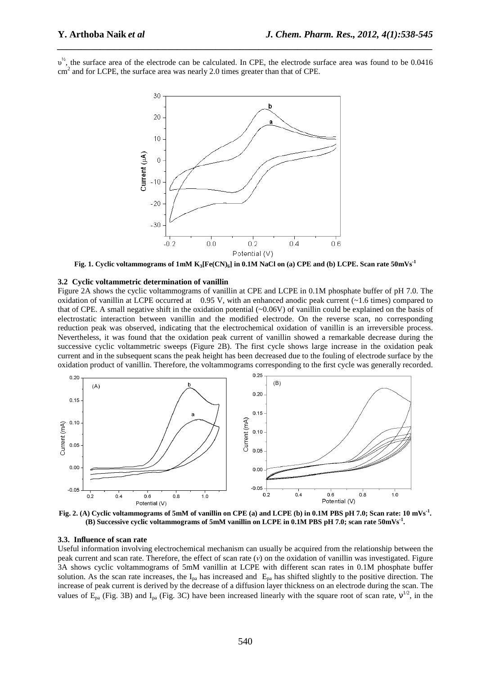$v^{\prime\prime}$ , the surface area of the electrode can be calculated. In CPE, the electrode surface area was found to be 0.0416  $\text{cm}^2$  and for LCPE, the surface area was nearly 2.0 times greater than that of CPE.

*\_\_\_\_\_\_\_\_\_\_\_\_\_\_\_\_\_\_\_\_\_\_\_\_\_\_\_\_\_\_\_\_\_\_\_\_\_\_\_\_\_\_\_\_\_\_\_\_\_\_\_\_\_\_\_\_\_\_\_\_\_\_\_\_\_\_\_\_\_\_\_\_\_\_\_\_\_\_*



Fig. 1. Cyclic voltammograms of 1mM  $K_3[Fe(CN)_6]$  in 0.1M NaCl on (a) CPE and (b) LCPE. Scan rate  $50mVs^{-1}$ 

#### **3.2 Cyclic voltammetric determination of vanillin**

Figure 2A shows the cyclic voltammograms of vanillin at CPE and LCPE in 0.1M phosphate buffer of pH 7.0. The oxidation of vanillin at LCPE occurred at 0.95 V, with an enhanced anodic peak current  $(2.1.6 \text{ times})$  compared to that of CPE. A small negative shift in the oxidation potential (~0.06V) of vanillin could be explained on the basis of electrostatic interaction between vanillin and the modified electrode. On the reverse scan, no corresponding reduction peak was observed, indicating that the electrochemical oxidation of vanillin is an irreversible process. Nevertheless, it was found that the oxidation peak current of vanillin showed a remarkable decrease during the successive cyclic voltammetric sweeps (Figure 2B). The first cycle shows large increase in the oxidation peak current and in the subsequent scans the peak height has been decreased due to the fouling of electrode surface by the oxidation product of vanillin. Therefore, the voltammograms corresponding to the first cycle was generally recorded.



**Fig. 2. (A) Cyclic voltammograms of 5mM of vanillin on CPE (a) and LCPE (b) in 0.1M PBS pH 7.0; Scan rate: 10 mVs-1 . (B) Successive cyclic voltammograms of 5mM vanillin on LCPE in 0.1M PBS pH 7.0; scan rate 50mVs-1 .** 

#### **3.3. Influence of scan rate**

Useful information involving electrochemical mechanism can usually be acquired from the relationship between the peak current and scan rate. Therefore, the effect of scan rate (*ν*) on the oxidation of vanillin was investigated. Figure 3A shows cyclic voltammograms of 5mM vanillin at LCPE with different scan rates in 0.1M phosphate buffer solution. As the scan rate increases, the  $I_{pa}$  has increased and  $E_{pa}$  has shifted slightly to the positive direction. The increase of peak current is derived by the decrease of a diffusion layer thickness on an electrode during the scan. The values of  $E_{pa}$  (Fig. 3B) and I<sub>pa</sub> (Fig. 3C) have been increased linearly with the square root of scan rate,  $v^{1/2}$ , in the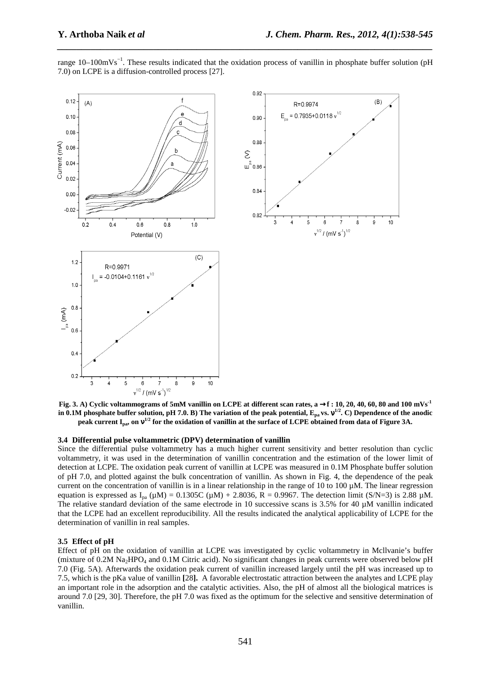

range 10–100mVs−1. These results indicated that the oxidation process of vanillin in phosphate buffer solution (pH 7.0) on LCPE is a diffusion-controlled process [27].

*\_\_\_\_\_\_\_\_\_\_\_\_\_\_\_\_\_\_\_\_\_\_\_\_\_\_\_\_\_\_\_\_\_\_\_\_\_\_\_\_\_\_\_\_\_\_\_\_\_\_\_\_\_\_\_\_\_\_\_\_\_\_\_\_\_\_\_\_\_\_\_\_\_\_\_\_\_\_*

**Fig. 3. A) Cyclic voltammograms of 5mM vanillin on LCPE at different scan rates, a** →**f : 10, 20, 40, 60, 80 and 100 mVs-1 in 0.1M phosphate buffer solution, pH 7.0. B) The variation of the peak potential, Epa vs.** ν**1/2. C) Dependence of the anodic peak current Ipa, on** ν**1/2 for the oxidation of vanillin at the surface of LCPE obtained from data of Figure 3A.** 

#### **3.4 Differential pulse voltammetric (DPV) determination of vanillin**

Since the differential pulse voltammetry has a much higher current sensitivity and better resolution than cyclic voltammetry, it was used in the determination of vanillin concentration and the estimation of the lower limit of detection at LCPE. The oxidation peak current of vanillin at LCPE was measured in 0.1M Phosphate buffer solution of pH 7.0, and plotted against the bulk concentration of vanillin. As shown in Fig. 4, the dependence of the peak current on the concentration of vanillin is in a linear relationship in the range of 10 to 100  $\mu$ M. The linear regression equation is expressed as  $I_{pa}(\mu M) = 0.1305C (\mu M) + 2.8036$ , R = 0.9967. The detection limit (S/N=3) is 2.88  $\mu$ M. The relative standard deviation of the same electrode in 10 successive scans is 3.5% for 40  $\mu$ M vanillin indicated that the LCPE had an excellent reproducibility. All the results indicated the analytical applicability of LCPE for the determination of vanillin in real samples.

## **3.5 Effect of pH**

Effect of pH on the oxidation of vanillin at LCPE was investigated by cyclic voltammetry in Mcllvanie's buffer (mixture of 0.2M Na<sub>2</sub>HPO<sub>4</sub> and 0.1M Citric acid). No significant changes in peak currents were observed below pH 7.0 (Fig. 5A). Afterwards the oxidation peak current of vanillin increased largely until the pH was increased up to 7.5, which is the pKa value of vanillin **[**28**].** A favorable electrostatic attraction between the analytes and LCPE play an important role in the adsorption and the catalytic activities. Also, the pH of almost all the biological matrices is around 7.0 [29, 30]. Therefore, the pH 7.0 was fixed as the optimum for the selective and sensitive determination of vanillin.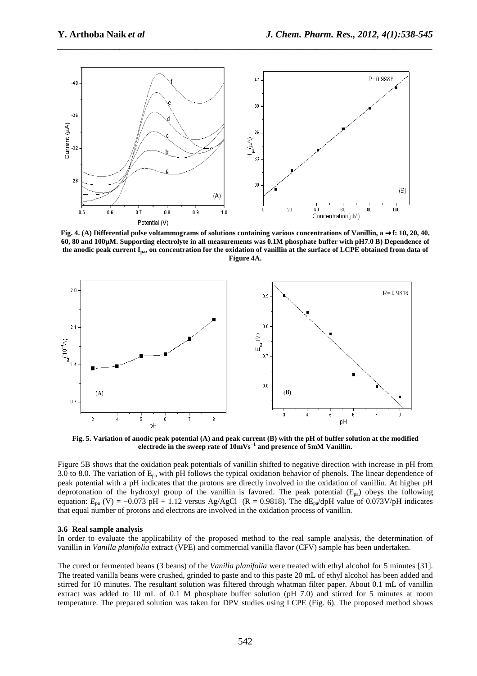

*\_\_\_\_\_\_\_\_\_\_\_\_\_\_\_\_\_\_\_\_\_\_\_\_\_\_\_\_\_\_\_\_\_\_\_\_\_\_\_\_\_\_\_\_\_\_\_\_\_\_\_\_\_\_\_\_\_\_\_\_\_\_\_\_\_\_\_\_\_\_\_\_\_\_\_\_\_\_*

**Fig. 4. (A) Differential pulse voltammograms of solutions containing various concentrations of Vanillin, a** →**f: 10, 20, 40, 60, 80 and 100µM. Supporting electrolyte in all measurements was 0.1M phosphate buffer with pH7.0 B) Dependence of the anodic peak current Ipa, on concentration for the oxidation of vanillin at the surface of LCPE obtained from data of Figure 4A.** 



**Fig. 5. Variation of anodic peak potential (A) and peak current (B) with the pH of buffer solution at the modified electrode in the sweep rate of 10mVs−1 and presence of 5mM Vanillin.** 

Figure 5B shows that the oxidation peak potentials of vanillin shifted to negative direction with increase in pH from 3.0 to 8.0. The variation of  $E_{pa}$  with pH follows the typical oxidation behavior of phenols. The linear dependence of peak potential with a pH indicates that the protons are directly involved in the oxidation of vanillin. At higher pH deprotonation of the hydroxyl group of the vanillin is favored. The peak potential  $(E_{pa})$  obeys the following equation:  $E_{pa}$  (V) = −0.073 pH + 1.12 versus Ag/AgCl (R = 0.9818). The dE<sub>pa</sub>/dpH value of 0.073V/pH indicates that equal number of protons and electrons are involved in the oxidation process of vanillin.

#### **3.6 Real sample analysis**

In order to evaluate the applicability of the proposed method to the real sample analysis, the determination of vanillin in *Vanilla planifolia* extract (VPE) and commercial vanilla flavor (CFV) sample has been undertaken.

The cured or fermented beans (3 beans) of the *Vanilla planifolia* were treated with ethyl alcohol for 5 minutes [31]. The treated vanilla beans were crushed, grinded to paste and to this paste 20 mL of ethyl alcohol has been added and stirred for 10 minutes. The resultant solution was filtered through whatman filter paper. About 0.1 mL of vanillin extract was added to 10 mL of 0.1 M phosphate buffer solution (pH 7.0) and stirred for 5 minutes at room temperature. The prepared solution was taken for DPV studies using LCPE (Fig. 6). The proposed method shows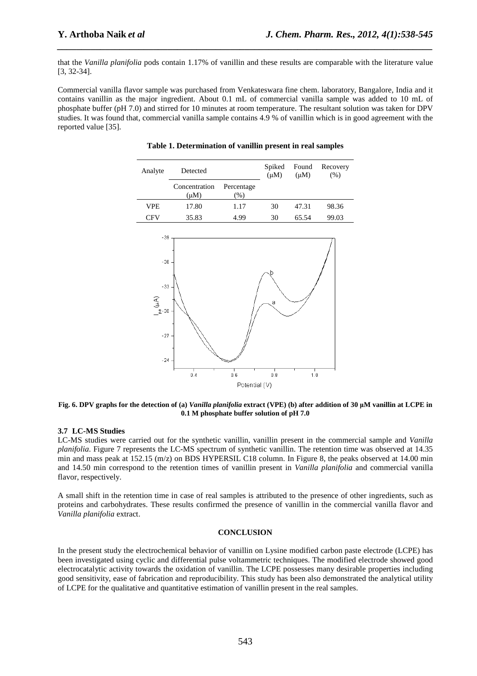that the *Vanilla planifolia* pods contain 1.17% of vanillin and these results are comparable with the literature value [3, 32-34].

*\_\_\_\_\_\_\_\_\_\_\_\_\_\_\_\_\_\_\_\_\_\_\_\_\_\_\_\_\_\_\_\_\_\_\_\_\_\_\_\_\_\_\_\_\_\_\_\_\_\_\_\_\_\_\_\_\_\_\_\_\_\_\_\_\_\_\_\_\_\_\_\_\_\_\_\_\_\_*

Commercial vanilla flavor sample was purchased from Venkateswara fine chem. laboratory, Bangalore, India and it contains vanillin as the major ingredient. About 0.1 mL of commercial vanilla sample was added to 10 mL of phosphate buffer (pH 7.0) and stirred for 10 minutes at room temperature. The resultant solution was taken for DPV studies. It was found that, commercial vanilla sample contains 4.9 % of vanillin which is in good agreement with the reported value [35].

| Analyte | Detected                   |                             | Spiked<br>$(\mu M)$ | Found<br>$(\mu M)$ | Recovery<br>(% ) |
|---------|----------------------------|-----------------------------|---------------------|--------------------|------------------|
|         | Concentration<br>$(\mu M)$ | Percentage<br>$\frac{9}{6}$ |                     |                    |                  |
| VPE.    | 17.80                      | 1.17                        | 30                  | 47.31              | 98.36            |
| CFV     | 35.83                      | 4.99                        | 30                  | 65.54              | 99.03            |





**Fig. 6. DPV graphs for the detection of (a)** *Vanilla planifolia* **extract (VPE) (b) after addition of 30 µM vanillin at LCPE in 0.1 M phosphate buffer solution of pH 7.0** 

## **3.7 LC-MS Studies**

LC-MS studies were carried out for the synthetic vanillin, vanillin present in the commercial sample and *Vanilla planifolia*. Figure 7 represents the LC-MS spectrum of synthetic vanillin. The retention time was observed at 14.35 min and mass peak at 152.15 (m/z) on BDS HYPERSIL C18 column. In Figure 8, the peaks observed at 14.00 min and 14.50 min correspond to the retention times of vanillin present in *Vanilla planifolia* and commercial vanilla flavor, respectively.

A small shift in the retention time in case of real samples is attributed to the presence of other ingredients, such as proteins and carbohydrates. These results confirmed the presence of vanillin in the commercial vanilla flavor and *Vanilla planifolia* extract.

## **CONCLUSION**

In the present study the electrochemical behavior of vanillin on Lysine modified carbon paste electrode (LCPE) has been investigated using cyclic and differential pulse voltammetric techniques. The modified electrode showed good electrocatalytic activity towards the oxidation of vanillin. The LCPE possesses many desirable properties including good sensitivity, ease of fabrication and reproducibility. This study has been also demonstrated the analytical utility of LCPE for the qualitative and quantitative estimation of vanillin present in the real samples.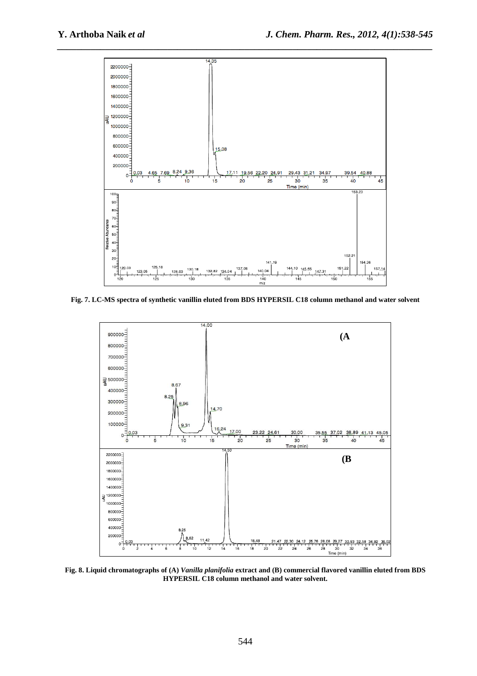

**Fig. 7. LC-MS spectra of synthetic vanillin eluted from BDS HYPERSIL C18 column methanol and water solvent** 



**Fig. 8. Liquid chromatographs of (A)** *Vanilla planifolia* **extract and (B) commercial flavored vanillin eluted from BDS HYPERSIL C18 column methanol and water solvent.**